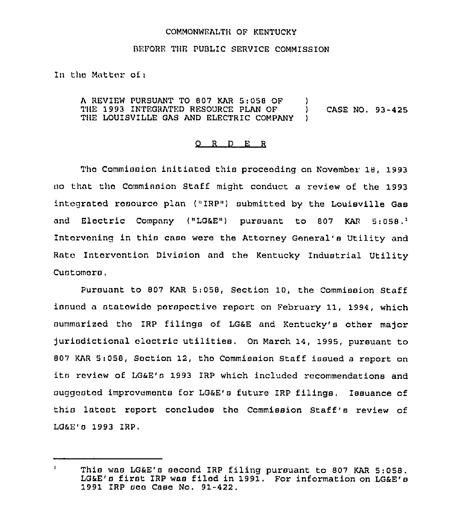## COMMONWEALTH OF KENTUCKY

## BEFORE THE PUBLIC SERVICE COMMISSION

In the Matter of:

A REVIEW PURSUANT TO 807 KAR 5:058 OF THE 1993 INTEGRATED RESOURCE PLAN OF  $\lambda$ CASE NO. 93-425 THE LOUISVILLE GAS AND ELECTRIC COMPANY )

## $Q$  R  $D$  E R

The Commission initiated this proceeding on November 18, 1993 so that the Comminaion Staff might conduct a review of the 1993 integrated resource plan ("IRP") submitted by the Louisville Gas and Eloctric Company ("LG&E") pursuant to 807 KAR  $5:058.<sup>2</sup>$ Intervening in this case were the Attorney General's Utility and Rate Intervention Division and the Kentucky Industrial Utility Customora.

Pursuant to 807 KAR 5:058, Section 10, the Commission Staff issued a statewide perspective report on February 11, 1994, which summarized the IRP filings of LG&E and Kentucky's other major jurisdictional electric utilities. On March 14, 1995, pursuant to 807 KAR 5:058, Section 12, the Commission Staff issued a report on its review of LG&E's 1993 IRP which included recommendations and suggested improvements for LG&E's future IRP filings. Issuance of this latost report concludes the Commission Staff's review of LG&E's 1993 IRP.

 $\mathbf{1}$ This was LG&E's second IRP filing pursuant to 807 KAR 5:058. LG&E's first IRP was filed in 1991. For information on LG&E's 1991 IRP see Case No. 91-422.